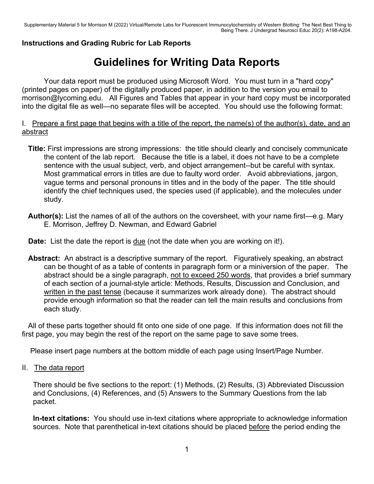# **Instructions and Grading Rubric for Lab Reports**

# **Guidelines for Writing Data Reports**

 Your data report must be produced using Microsoft Word. You must turn in a "hard copy" (printed pages on paper) of the digitally produced paper, in addition to the version you email to morrison@lycoming.edu. All Figures and Tables that appear in your hard copy must be incorporated into the digital file as well—no separate files will be accepted. You should use the following format:

I. Prepare a first page that begins with a title of the report, the name(s) of the author(s), date, and an abstract

- **Title:** First impressions are strong impressions: the title should clearly and concisely communicate the content of the lab report. Because the title is a label, it does not have to be a complete sentence with the usual subject, verb, and object arrangement--but be careful with syntax. Most grammatical errors in titles are due to faulty word order. Avoid abbreviations, jargon, vague terms and personal pronouns in titles and in the body of the paper. The title should identify the chief techniques used, the species used (if applicable), and the molecules under study.
- **Author(s):** List the names of all of the authors on the coversheet, with your name first—e.g. Mary E. Morrison, Jeffrey D. Newman, and Edward Gabriel
- **Date:** List the date the report is <u>due</u> (not the date when you are working on it!).
- **Abstract:** An abstract is a descriptive summary of the report. Figuratively speaking, an abstract can be thought of as a table of contents in paragraph form or a miniversion of the paper. The abstract should be a single paragraph, not to exceed 250 words, that provides a brief summary of each section of a journal-style article: Methods, Results, Discussion and Conclusion, and written in the past tense (because it summarizes work already done). The abstract should provide enough information so that the reader can tell the main results and conclusions from each study.

 All of these parts together should fit onto one side of one page. If this information does not fill the first page, you may begin the rest of the report on the same page to save some trees.

Please insert page numbers at the bottom middle of each page using Insert/Page Number.

II. The data report

There should be five sections to the report: (1) Methods, (2) Results, (3) Abbreviated Discussion and Conclusions, (4) References, and (5) Answers to the Summary Questions from the lab packet.

**In-text citations:** You should use in-text citations where appropriate to acknowledge information sources. Note that parenthetical in-text citations should be placed before the period ending the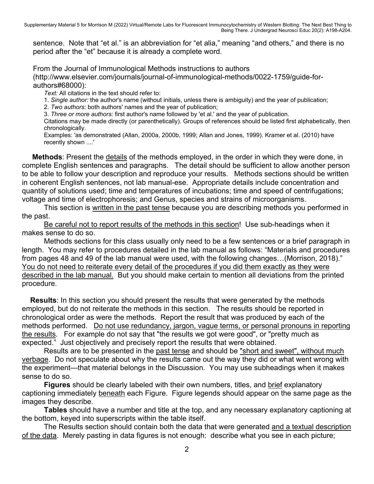sentence. Note that "et al." is an abbreviation for "et alia," meaning "and others," and there is no period after the "et" because it is already a complete word.

From the Journal of Immunological Methods instructions to authors

(http://www.elsevier.com/journals/journal-of-immunological-methods/0022-1759/guide-forauthors#68000):

*Text:* All citations in the text should refer to:

1. *Single author:* the author's name (without initials, unless there is ambiguity) and the year of publication;

2. *Two authors:* both authors' names and the year of publication;

3. *Three or more authors:* first author's name followed by 'et al.' and the year of publication.

Citations may be made directly (or parenthetically). Groups of references should be listed first alphabetically, then chronologically.

Examples: 'as demonstrated (Allan, 2000a, 2000b, 1999; Allan and Jones, 1999). Kramer et al. (2010) have recently shown ....'

 **Methods**: Present the details of the methods employed, in the order in which they were done, in complete English sentences and paragraphs. The detail should be sufficient to allow another person to be able to follow your description and reproduce your results. Methods sections should be written in coherent English sentences, not lab manual-ese. Appropriate details include concentration and quantity of solutions used; time and temperatures of incubations; time and speed of centrifugations; voltage and time of electrophoresis; and Genus, species and strains of microorganisms.

 This section is written in the past tense because you are describing methods you performed in the past.

 Be careful not to report results of the methods in this section! Use sub-headings when it makes sense to do so.

 Methods sections for this class usually only need to be a few sentences or a brief paragraph in length. You may refer to procedures detailed in the lab manual as follows: "Materials and procedures from pages 48 and 49 of the lab manual were used, with the following changes…(Morrison, 2018)." You do not need to reiterate every detail of the procedures if you did them exactly as they were described in the lab manual. But you should make certain to mention all deviations from the printed procedure.

 **Results**: In this section you should present the results that were generated by the methods employed, but do not reiterate the methods in this section. The results should be reported in chronological order as were the methods. Report the result that was produced by each of the methods performed. Do not use redundancy, jargon, vague terms, or personal pronouns in reporting the results. For example do not say that "the results we got were good", or "pretty much as expected." Just objectively and precisely report the results that were obtained.

 Results are to be presented in the past tense and should be "short and sweet", without much verbage. Do not speculate about why the results came out the way they did or what went wrong with the experiment—that material belongs in the Discussion. You may use subheadings when it makes sense to do so.

**Figures** should be clearly labeled with their own numbers, titles, and brief explanatory captioning immediately beneath each Figure. Figure legends should appear on the same page as the images they describe.

**Tables** should have a number and title at the top, and any necessary explanatory captioning at the bottom, keyed into superscripts within the table itself.

The Results section should contain both the data that were generated and a textual description of the data. Merely pasting in data figures is not enough: describe what you see in each picture;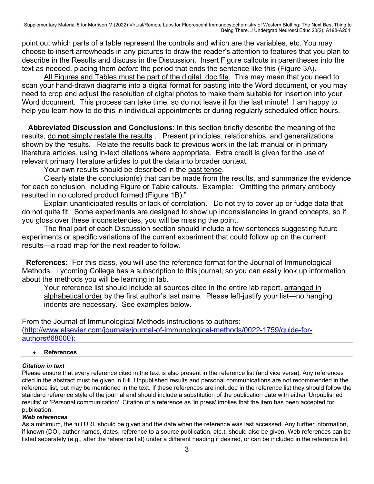point out which parts of a table represent the controls and which are the variables, etc. You may choose to insert arrowheads in any pictures to draw the reader's attention to features that you plan to describe in the Results and discuss in the Discussion. Insert Figure callouts in parentheses into the text as needed, placing them *before* the period that ends the sentence like this (Figure 3A).

 All Figures and Tables must be part of the digital .doc file. This may mean that you need to scan your hand-drawn diagrams into a digital format for pasting into the Word document, or you may need to crop and adjust the resolution of digital photos to make them suitable for insertion into your Word document. This process can take time, so do not leave it for the last minute! I am happy to help you learn how to do this in individual appointments or during regularly scheduled office hours.

 **Abbreviated Discussion and Conclusions**: In this section briefly describe the meaning of the results, do **not** simply restate the results . Present principles, relationships, and generalizations shown by the results. Relate the results back to previous work in the lab manual or in primary literature articles, using in-text citations where appropriate. Extra credit is given for the use of relevant primary literature articles to put the data into broader context.

Your own results should be described in the past tense.

 Clearly state the conclusion(s) that can be made from the results, and summarize the evidence for each conclusion, including Figure or Table callouts. Example: "Omitting the primary antibody resulted in no colored product formed (Figure 1B)."

 Explain unanticipated results or lack of correlation. Do not try to cover up or fudge data that do not quite fit. Some experiments are designed to show up inconsistencies in grand concepts, so if you gloss over these inconsistencies, you will be missing the point.

 The final part of each Discussion section should include a few sentences suggesting future experiments or specific variations of the current experiment that could follow up on the current results—a road map for the next reader to follow.

 **References:** For this class, you will use the reference format for the Journal of Immunological Methods. Lycoming College has a subscription to this journal, so you can easily look up information about the methods you will be learning in lab.

 Your reference list should include all sources cited in the entire lab report, arranged in alphabetical order by the first author's last name. Please left-justify your list—no hanging indents are necessary. See examples below.

From the Journal of Immunological Methods instructions to authors: (http://www.elsevier.com/journals/journal-of-immunological-methods/0022-1759/guide-forauthors#68000):

## **References**

## *Citation in text*

Please ensure that every reference cited in the text is also present in the reference list (and vice versa). Any references cited in the abstract must be given in full. Unpublished results and personal communications are not recommended in the reference list, but may be mentioned in the text. If these references are included in the reference list they should follow the standard reference style of the journal and should include a substitution of the publication date with either 'Unpublished results' or 'Personal communication'. Citation of a reference as 'in press' implies that the item has been accepted for publication.

#### *Web references*

As a minimum, the full URL should be given and the date when the reference was last accessed. Any further information, if known (DOI, author names, dates, reference to a source publication, etc.), should also be given. Web references can be listed separately (e.g., after the reference list) under a different heading if desired, or can be included in the reference list.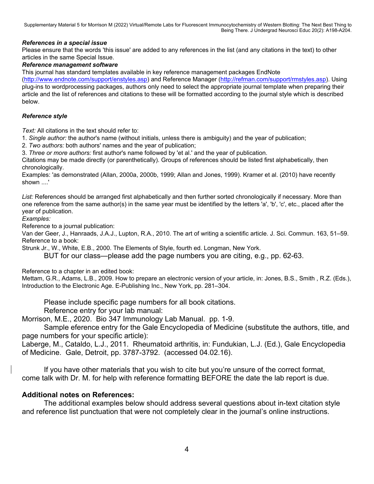Supplementary Material 5 for Morrison M (2022) Virtual/Remote Labs for Fluorescent Immunocytochemistry of Western Blotting: The Next Best Thing to Being There. J Undergrad Neurosci Educ 20(2): A198-A204.

#### *References in a special issue*

Please ensure that the words 'this issue' are added to any references in the list (and any citations in the text) to other articles in the same Special Issue.

#### *Reference management software*

This journal has standard templates available in key reference management packages EndNote

(http://www.endnote.com/support/enstyles.asp) and Reference Manager (http://refman.com/support/rmstyles.asp). Using plug-ins to wordprocessing packages, authors only need to select the appropriate journal template when preparing their article and the list of references and citations to these will be formatted according to the journal style which is described below.

#### *Reference style*

*Text:* All citations in the text should refer to:

1. *Single author:* the author's name (without initials, unless there is ambiguity) and the year of publication;

2. *Two authors:* both authors' names and the year of publication;

3. *Three or more authors:* first author's name followed by 'et al.' and the year of publication.

Citations may be made directly (or parenthetically). Groups of references should be listed first alphabetically, then chronologically.

Examples: 'as demonstrated (Allan, 2000a, 2000b, 1999; Allan and Jones, 1999). Kramer et al. (2010) have recently shown ....'

*List:* References should be arranged first alphabetically and then further sorted chronologically if necessary. More than one reference from the same author(s) in the same year must be identified by the letters 'a', 'b', 'c', etc., placed after the year of publication.

*Examples:*

Reference to a journal publication:

Van der Geer, J., Hanraads, J.A.J., Lupton, R.A., 2010. The art of writing a scientific article. J. Sci. Commun. 163, 51–59. Reference to a book:

Strunk Jr., W., White, E.B., 2000. The Elements of Style, fourth ed. Longman, New York.

BUT for our class—please add the page numbers you are citing, e.g., pp. 62-63.

Reference to a chapter in an edited book:

Mettam, G.R., Adams, L.B., 2009. How to prepare an electronic version of your article, in: Jones, B.S., Smith , R.Z. (Eds.), Introduction to the Electronic Age. E-Publishing Inc., New York, pp. 281–304.

Please include specific page numbers for all book citations.

Reference entry for your lab manual:

Morrison, M.E., 2020. Bio 347 Immunology Lab Manual. pp. 1-9.

 Sample eference entry for the Gale Encyclopedia of Medicine (substitute the authors, title, and page numbers for your specific article):

Laberge, M., Cataldo, L.J., 2011. Rheumatoid arthritis, in: Fundukian, L.J. (Ed.), Gale Encyclopedia of Medicine. Gale, Detroit, pp. 3787-3792. (accessed 04.02.16).

 If you have other materials that you wish to cite but you're unsure of the correct format, come talk with Dr. M. for help with reference formatting BEFORE the date the lab report is due.

## **Additional notes on References:**

The additional examples below should address several questions about in-text citation style and reference list punctuation that were not completely clear in the journal's online instructions.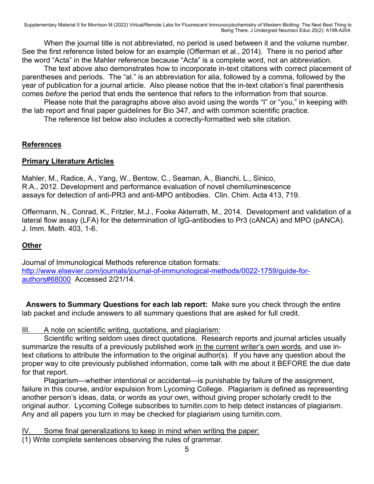Supplementary Material 5 for Morrison M (2022) Virtual/Remote Labs for Fluorescent Immunocytochemistry of Western Blotting: The Next Best Thing to Being There. J Undergrad Neurosci Educ 20(2): A198-A204.

When the journal title is not abbreviated, no period is used between it and the volume number. See the first reference listed below for an example (Offerman et al., 2014). There is no period after the word "Acta" in the Mahler reference because "Acta" is a complete word, not an abbreviation.

The text above also demonstrates how to incorporate in-text citations with correct placement of parentheses and periods. The "al." is an abbreviation for alia, followed by a comma, followed by the year of publication for a journal article. Also please notice that the in-text citation's final parenthesis comes *before* the period that ends the sentence that refers to the information from that source.

Please note that the paragraphs above also avoid using the words "I" or "you," in keeping with the lab report and final paper guidelines for Bio 347, and with common scientific practice.

The reference list below also includes a correctly-formatted web site citation.

# **References**

# **Primary Literature Articles**

Mahler, M., Radice, A., Yang, W., Bentow, C., Seaman, A., Bianchi, L., Sinico, R.A., 2012. Development and performance evaluation of novel chemiluminescence assays for detection of anti-PR3 and anti-MPO antibodies. Clin. Chim. Acta 413, 719.

Offermann, N., Conrad, K., Fritzler, M.J., Fooke Akterrath, M., 2014. Development and validation of a lateral flow assay (LFA) for the determination of IgG-antibodies to Pr3 (cANCA) and MPO (pANCA). J. Imm. Meth. 403, 1-6.

## **Other**

Journal of Immunological Methods reference citation formats: http://www.elsevier.com/journals/journal-of-immunological-methods/0022-1759/guide-forauthors#68000 Accessed 2/21/14.

 **Answers to Summary Questions for each lab report:** Make sure you check through the entire lab packet and include answers to all summary questions that are asked for full credit.

III. A note on scientific writing, quotations, and plagiarism:

 Scientific writing seldom uses direct quotations. Research reports and journal articles usually summarize the results of a previously published work in the current writer's own words, and use intext citations to attribute the information to the original author(s). If you have any question about the proper way to cite previously published information, come talk with me about it BEFORE the due date for that report.

 Plagiarism—whether intentional or accidental—is punishable by failure of the assignment, failure in this course, and/or expulsion from Lycoming College. Plagiarism is defined as representing another person's ideas, data, or words as your own, without giving proper scholarly credit to the original author. Lycoming College subscribes to turnitin.com to help detect instances of plagiarism. Any and all papers you turn in may be checked for plagiarism using turnitin.com.

IV. Some final generalizations to keep in mind when writing the paper: (1) Write complete sentences observing the rules of grammar.